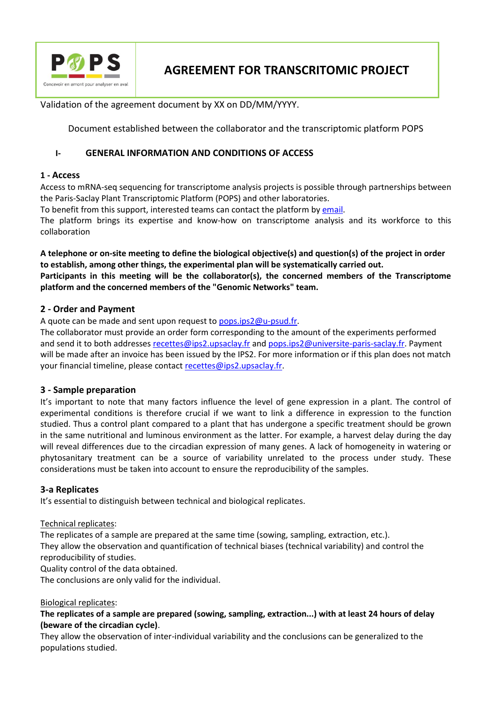

Validation of the agreement document by XX on DD/MM/YYYY.

Document established between the collaborator and the transcriptomic platform POPS

## **I- GENERAL INFORMATION AND CONDITIONS OF ACCESS**

## **1 - Access**

Access to mRNA-seq sequencing for transcriptome analysis projects is possible through partnerships between the Paris-Saclay Plant Transcriptomic Platform (POPS) and other laboratories.

To benefit from this support, interested teams can contact the platform b[y email.](mailto:pops.ips2@u-psud.fr)

The platform brings its expertise and know-how on transcriptome analysis and its workforce to this collaboration

**A telephone or on-site meeting to define the biological objective(s) and question(s) of the project in order to establish, among other things, the experimental plan will be systematically carried out. Participants in this meeting will be the collaborator(s), the concerned members of the Transcriptome platform and the concerned members of the "Genomic Networks" team.**

## **2 - Order and Payment**

A quote can be made and sent upon request to [pops.ips2@u-psud.fr.](mailto:pops.ips2@u-psud.fr)

The collaborator must provide an order form corresponding to the amount of the experiments performed and send it to both addresse[s recettes@ips2.upsaclay.fr](mailto:recettes%20@%20ips2.upsaclay.fr) and [pops.ips2@universite-paris-saclay.fr.](mailto:pops.ips2@universite-paris-saclay.fr) Payment will be made after an invoice has been issued by the IPS2. For more information or if this plan does not match your financial timeline, please contac[t recettes@ips2.upsaclay.fr.](mailto:recettes@ips2.upsaclay.fr)

## **3 - Sample preparation**

It's important to note that many factors influence the level of gene expression in a plant. The control of experimental conditions is therefore crucial if we want to link a difference in expression to the function studied. Thus a control plant compared to a plant that has undergone a specific treatment should be grown in the same nutritional and luminous environment as the latter. For example, a harvest delay during the day will reveal differences due to the circadian expression of many genes. A lack of homogeneity in watering or phytosanitary treatment can be a source of variability unrelated to the process under study. These considerations must be taken into account to ensure the reproducibility of the samples.

## **3-a Replicates**

It's essential to distinguish between technical and biological replicates.

## Technical replicates:

The replicates of a sample are prepared at the same time (sowing, sampling, extraction, etc.). They allow the observation and quantification of technical biases (technical variability) and control the reproducibility of studies.

Quality control of the data obtained.

The conclusions are only valid for the individual.

## Biological replicates:

**The replicates of a sample are prepared (sowing, sampling, extraction...) with at least 24 hours of delay (beware of the circadian cycle)**.

They allow the observation of inter-individual variability and the conclusions can be generalized to the populations studied.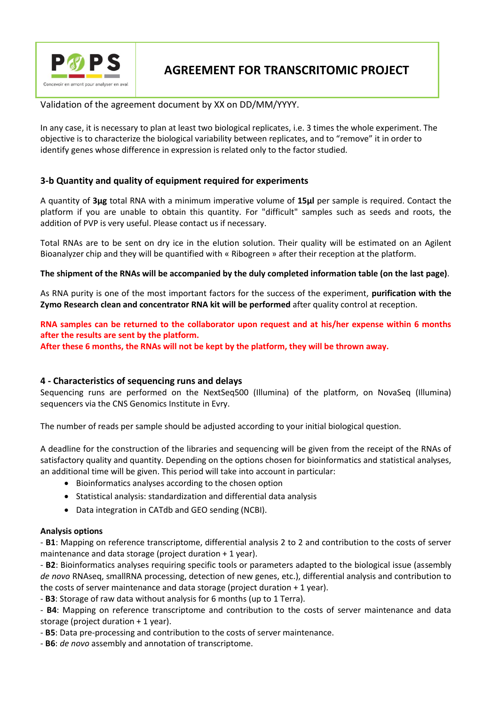

## Validation of the agreement document by XX on DD/MM/YYYY.

In any case, it is necessary to plan at least two biological replicates, i.e. 3 times the whole experiment. The objective is to characterize the biological variability between replicates, and to "remove" it in order to identify genes whose difference in expression is related only to the factor studied.

## **3-b Quantity and quality of equipment required for experiments**

A quantity of **3µg** total RNA with a minimum imperative volume of **15µl** per sample is required. Contact the platform if you are unable to obtain this quantity. For "difficult" samples such as seeds and roots, the addition of PVP is very useful. Please contact us if necessary.

Total RNAs are to be sent on dry ice in the elution solution. Their quality will be estimated on an Agilent Bioanalyzer chip and they will be quantified with « Ribogreen » after their reception at the platform.

## **The shipment of the RNAs will be accompanied by the duly completed information table (on the last page)**.

As RNA purity is one of the most important factors for the success of the experiment, **purification with the Zymo Research clean and concentrator RNA kit will be performed** after quality control at reception.

**RNA samples can be returned to the collaborator upon request and at his/her expense within 6 months after the results are sent by the platform.**

**After these 6 months, the RNAs will not be kept by the platform, they will be thrown away.**

## **4 - Characteristics of sequencing runs and delays**

Sequencing runs are performed on the NextSeq500 (Illumina) of the platform, on NovaSeq (Illumina) sequencers via the CNS Genomics Institute in Evry.

The number of reads per sample should be adjusted according to your initial biological question.

A deadline for the construction of the libraries and sequencing will be given from the receipt of the RNAs of satisfactory quality and quantity. Depending on the options chosen for bioinformatics and statistical analyses, an additional time will be given. This period will take into account in particular:

- Bioinformatics analyses according to the chosen option
- Statistical analysis: standardization and differential data analysis
- Data integration in CATdb and GEO sending (NCBI).

## **Analysis options**

- **B1**: Mapping on reference transcriptome, differential analysis 2 to 2 and contribution to the costs of server maintenance and data storage (project duration + 1 year).

- **B2**: Bioinformatics analyses requiring specific tools or parameters adapted to the biological issue (assembly *de novo* RNAseq, smallRNA processing, detection of new genes, etc.), differential analysis and contribution to the costs of server maintenance and data storage (project duration + 1 year).

- **B3**: Storage of raw data without analysis for 6 months (up to 1 Terra).

- **B4**: Mapping on reference transcriptome and contribution to the costs of server maintenance and data storage (project duration + 1 year).

- **B5**: Data pre-processing and contribution to the costs of server maintenance.

- **B6**: *de novo* assembly and annotation of transcriptome.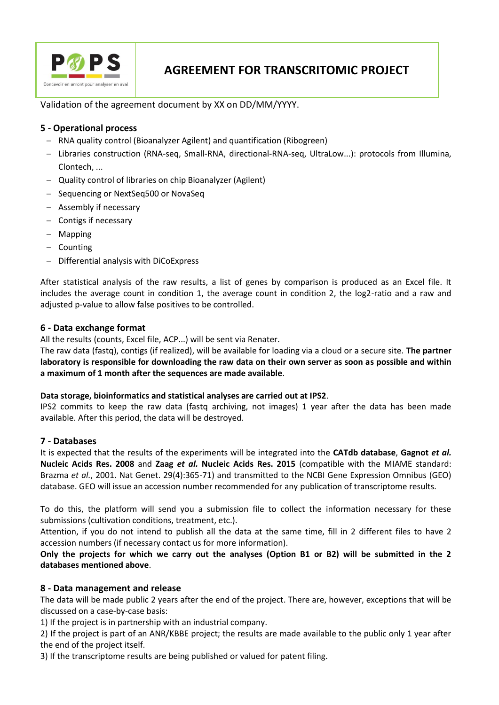

Validation of the agreement document by XX on DD/MM/YYYY.

## **5 - Operational process**

- RNA quality control (Bioanalyzer Agilent) and quantification (Ribogreen)
- Libraries construction (RNA-seq, Small-RNA, directional-RNA-seq, UltraLow...): protocols from Illumina, Clontech, ...
- Quality control of libraries on chip Bioanalyzer (Agilent)
- Sequencing or NextSeq500 or NovaSeq
- Assembly if necessary
- $-$  Contigs if necessary
- Mapping
- $-$  Counting
- Differential analysis with DiCoExpress

After statistical analysis of the raw results, a list of genes by comparison is produced as an Excel file. It includes the average count in condition 1, the average count in condition 2, the log2-ratio and a raw and adjusted p-value to allow false positives to be controlled.

## **6 - Data exchange format**

All the results (counts, Excel file, ACP...) will be sent via Renater.

The raw data (fastq), contigs (if realized), will be available for loading via a cloud or a secure site. **The partner laboratory is responsible for downloading the raw data on their own server as soon as possible and within a maximum of 1 month after the sequences are made available**.

## **Data storage, bioinformatics and statistical analyses are carried out at IPS2**.

IPS2 commits to keep the raw data (fastq archiving, not images) 1 year after the data has been made available. After this period, the data will be destroyed.

## **7 - Databases**

It is expected that the results of the experiments will be integrated into the **CATdb database**, **Gagnot** *et al.* **Nucleic Acids Res. 2008** and **Zaag** *et al.* **Nucleic Acids Res. 2015** (compatible with the MIAME standard: Brazma *et al.*, 2001. Nat Genet. 29(4):365-71) and transmitted to the NCBI Gene Expression Omnibus (GEO) database. GEO will issue an accession number recommended for any publication of transcriptome results.

To do this, the platform will send you a submission file to collect the information necessary for these submissions (cultivation conditions, treatment, etc.).

Attention, if you do not intend to publish all the data at the same time, fill in 2 different files to have 2 accession numbers (if necessary contact us for more information).

**Only the projects for which we carry out the analyses (Option B1 or B2) will be submitted in the 2 databases mentioned above**.

## **8 - Data management and release**

The data will be made public 2 years after the end of the project. There are, however, exceptions that will be discussed on a case-by-case basis:

1) If the project is in partnership with an industrial company.

2) If the project is part of an ANR/KBBE project; the results are made available to the public only 1 year after the end of the project itself.

3) If the transcriptome results are being published or valued for patent filing.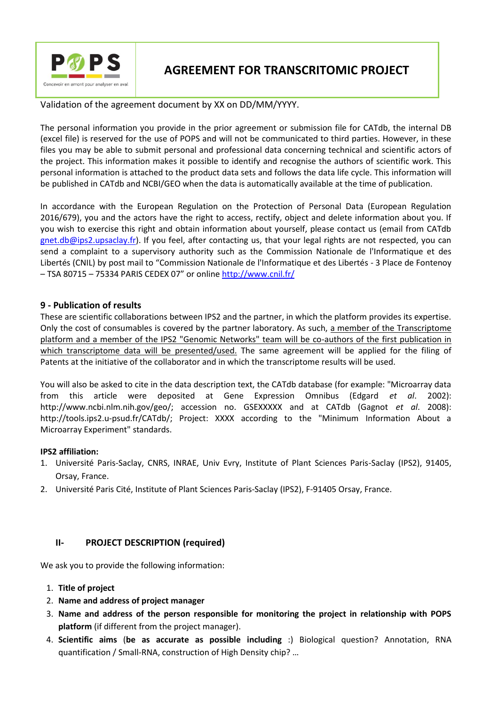

Validation of the agreement document by XX on DD/MM/YYYY.

The personal information you provide in the prior agreement or submission file for CATdb, the internal DB (excel file) is reserved for the use of POPS and will not be communicated to third parties. However, in these files you may be able to submit personal and professional data concerning technical and scientific actors of the project. This information makes it possible to identify and recognise the authors of scientific work. This personal information is attached to the product data sets and follows the data life cycle. This information will be published in CATdb and NCBI/GEO when the data is automatically available at the time of publication.

In accordance with the European Regulation on the Protection of Personal Data (European Regulation 2016/679), you and the actors have the right to access, rectify, object and delete information about you. If you wish to exercise this right and obtain information about yourself, please contact us (email from CATdb [gnet.db@ips2.upsaclay.fr\)](mailto:gnet.db@ips2.upsaclay.fr). If you feel, after contacting us, that your legal rights are not respected, you can send a complaint to a supervisory authority such as the Commission Nationale de l'Informatique et des Libertés (CNIL) by post mail to "Commission Nationale de l'Informatique et des Libertés - 3 Place de Fontenoy – TSA 80715 – 75334 PARIS CEDEX 07" or online<http://www.cnil.fr/>

## **9 - Publication of results**

These are scientific collaborations between IPS2 and the partner, in which the platform provides its expertise. Only the cost of consumables is covered by the partner laboratory. As such, a member of the Transcriptome platform and a member of the IPS2 "Genomic Networks" team will be co-authors of the first publication in which transcriptome data will be presented/used. The same agreement will be applied for the filing of Patents at the initiative of the collaborator and in which the transcriptome results will be used.

You will also be asked to cite in the data description text, the CATdb database (for example: "Microarray data from this article were deposited at Gene Expression Omnibus (Edgard *et al*. 2002): http://www.ncbi.nlm.nih.gov/geo/; accession no. GSEXXXXX and at CATdb (Gagnot *et al*. 2008): http://tools.ips2.u-psud.fr/CATdb/; Project: XXXX according to the "Minimum Information About a Microarray Experiment" standards.

## **IPS2 affiliation:**

- 1. Université Paris-Saclay, CNRS, INRAE, Univ Evry, Institute of Plant Sciences Paris-Saclay (IPS2), 91405, Orsay, France.
- 2. Université Paris Cité, Institute of Plant Sciences Paris-Saclay (IPS2), F-91405 Orsay, France.

## **II- PROJECT DESCRIPTION (required)**

We ask you to provide the following information:

- 1. **Title of project**
- 2. **Name and address of project manager**
- 3. **Name and address of the person responsible for monitoring the project in relationship with POPS platform** (if different from the project manager).
- 4. **Scientific aims** (**be as accurate as possible including** :) Biological question? Annotation, RNA quantification / Small-RNA, construction of High Density chip? …